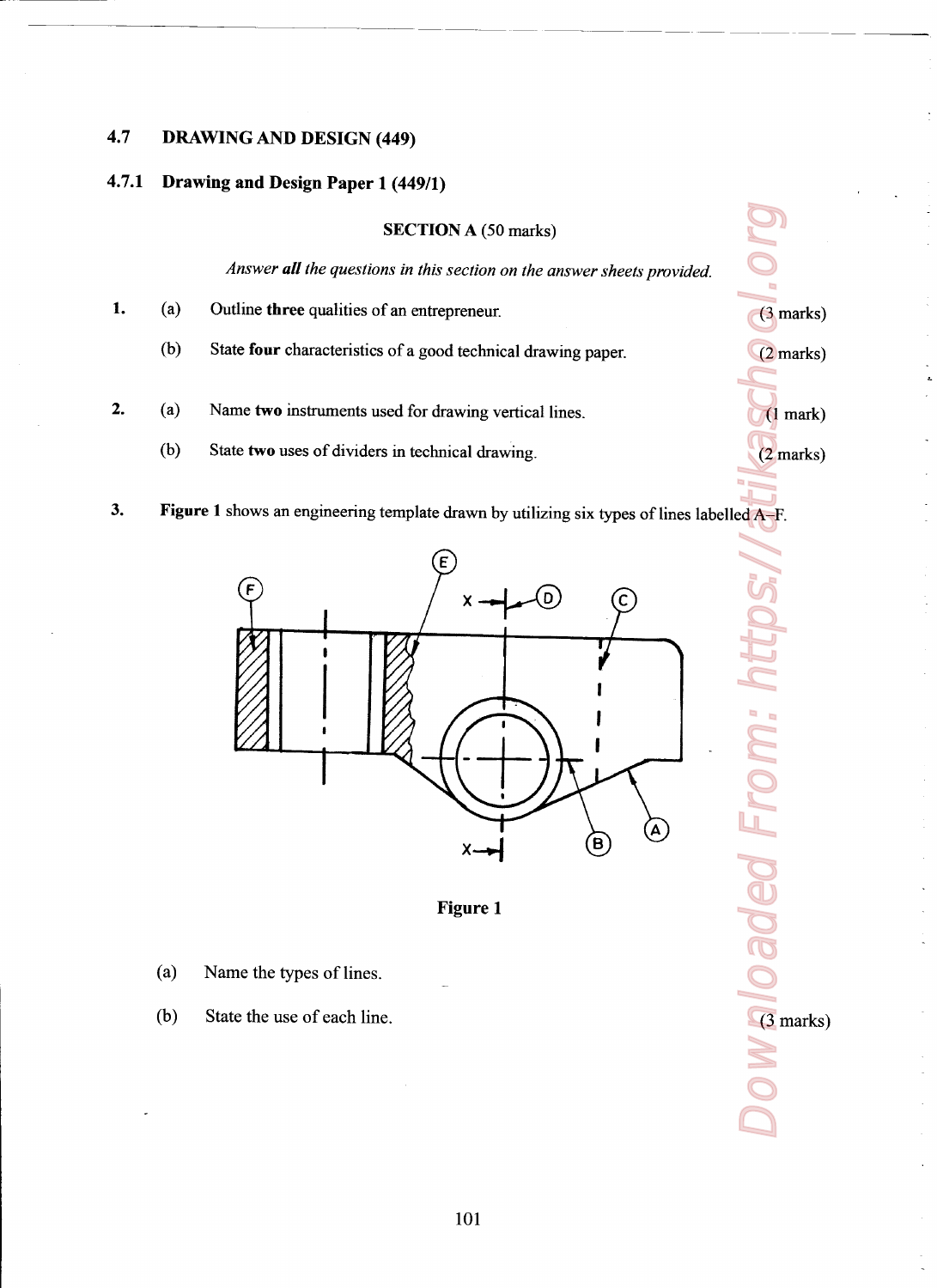## 4.7 DRAWING AND DESIGN (449)

## 4.7.1 Drawing and Design Paper <sup>1</sup> (449/1)

#### SECTION A (50 marks)

Answer all the questions in this section on the answer sheets provided.

- 1. (a) Outline three qualities of an entrepreneur. (3 marks)
	- (b) State four characteristics of a good technical drawing paper. (2 marks)
- 2. (a) Name two instruments used for drawing vertical lines. (1 mark)
	- (b) State two uses of dividers in technical drawing. (2 marks)
- Dowaloaded From: https://atikaschal.org 3. Figure 1 shows an engineering template drawn by utilizing six types of lines labelled A-F.





**loaded Fror** 

- (a) Name the types of lines.
- (b) State the use of each line.  $(3 \text{ marks})$

lOl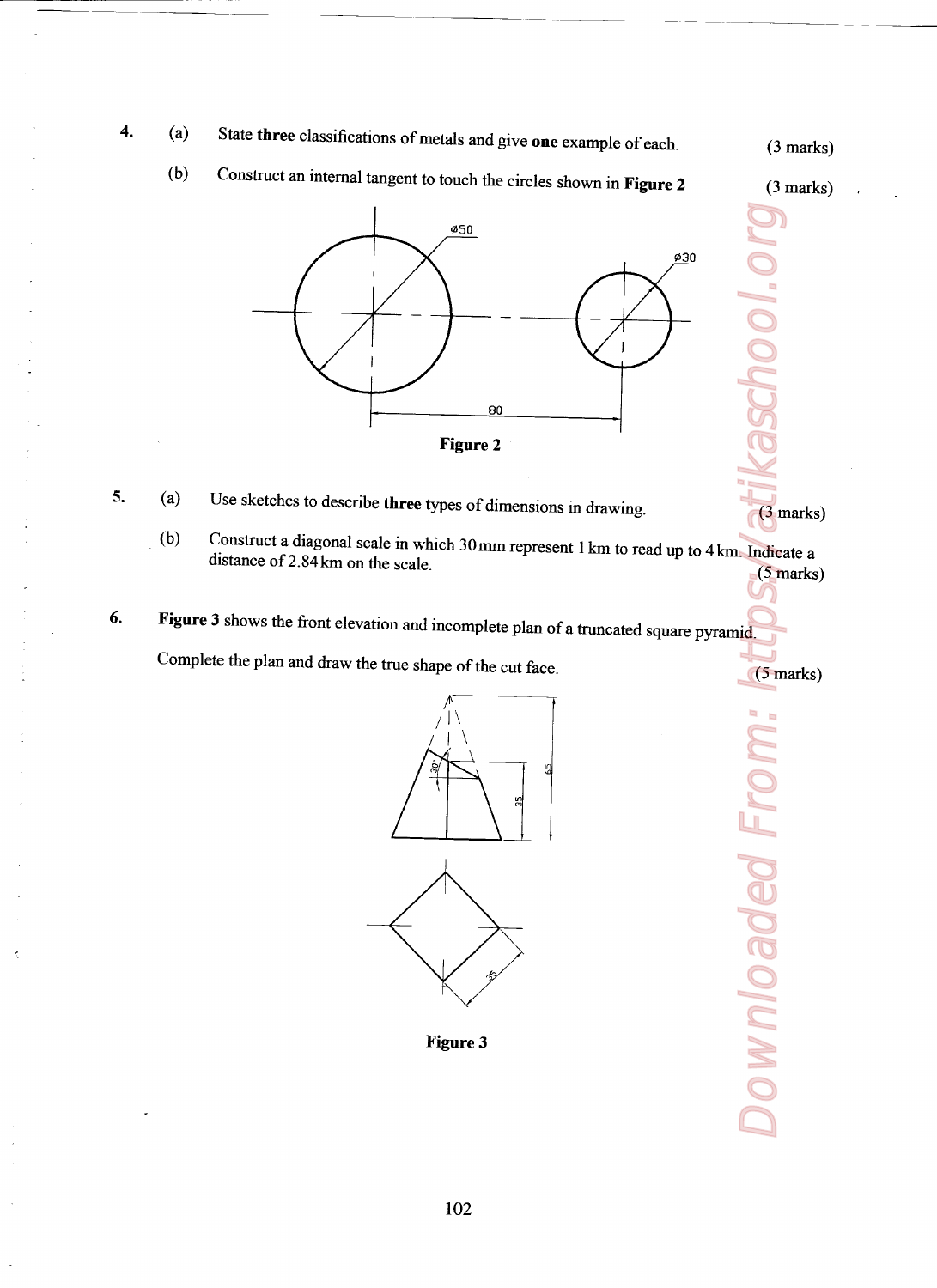- 4. (a) State three classifications of metals and give one example of each. (3 marks)
	- (b) Construct an internal tangent to touch the circles shown in **Figure 2** (3 marks)



- 5. (a) Use sketches to describe three types of dimensions in drawing.  $(3 \text{ marks})$
- Downloaded From: https://atikaschool.org (b) Construct <sup>a</sup> diagonal scale in which 30mm represent <sup>1</sup> km to read up to 4km. Indicate <sup>a</sup> distance of 2.84 km on the scale.  $(5 \text{ marks})$
- 6. Figure 3 shows the front elevation and incomplete plan of a truncated square pyramid. Complete the plan and draw the true shape of the cut face. (5 marks)



Figure 3

**Downloaded Fror**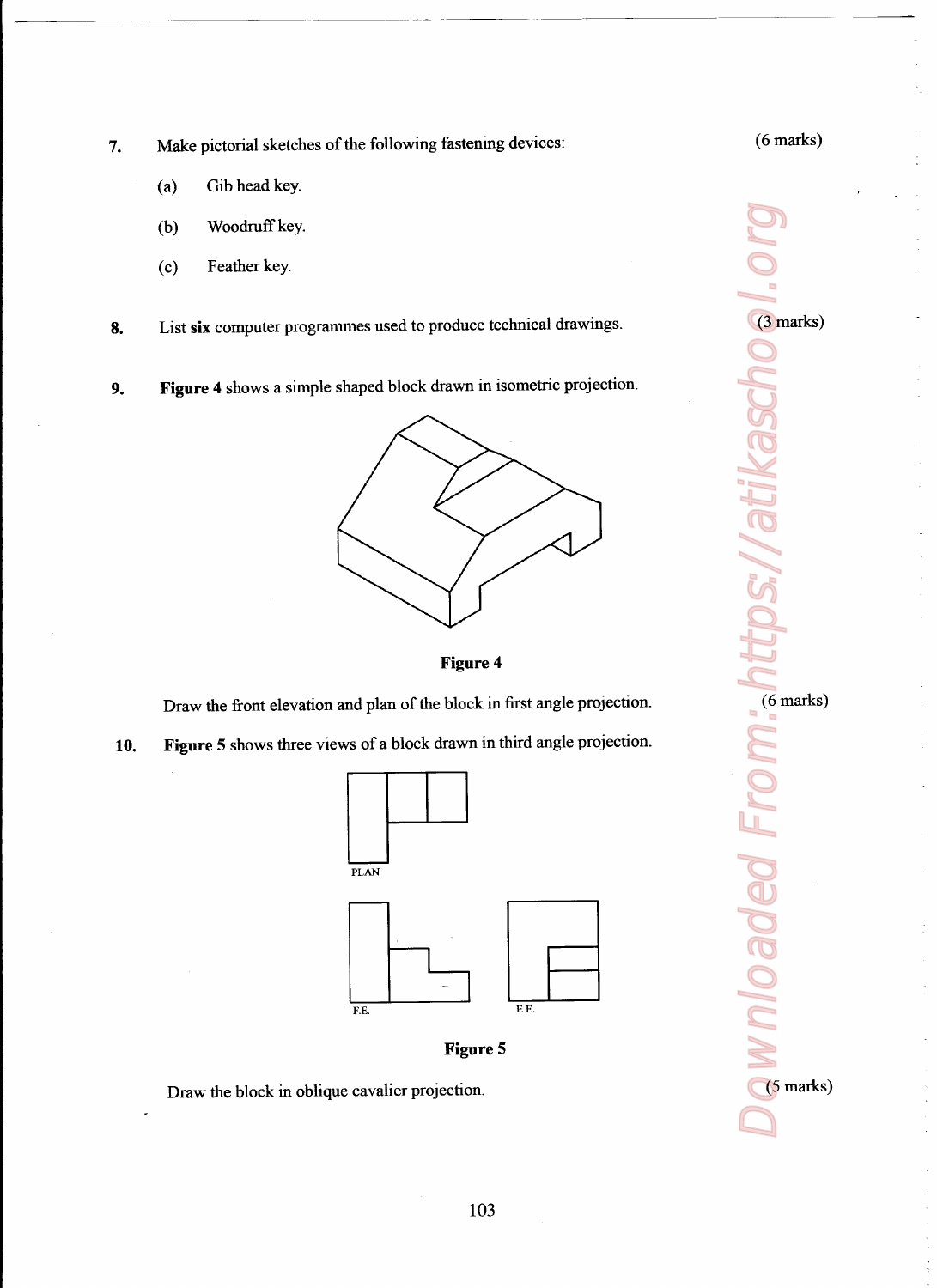7. Make pictorial sketches of the following fastening devices:

(a) Gib head key.

- (b) Woodruff key.
- (c) Feather key.
- 8. List six computer programmes used to produce technical drawings.
- 9. Figure 4 shows a simple shaped block drawn in isometric projection.



Figure 4

Draw the front elevation and plan of the block in first angle projection.

10. Figure 5 shows three views of a block drawn in third angle projection.





Draw the block in oblique cavalier projection.

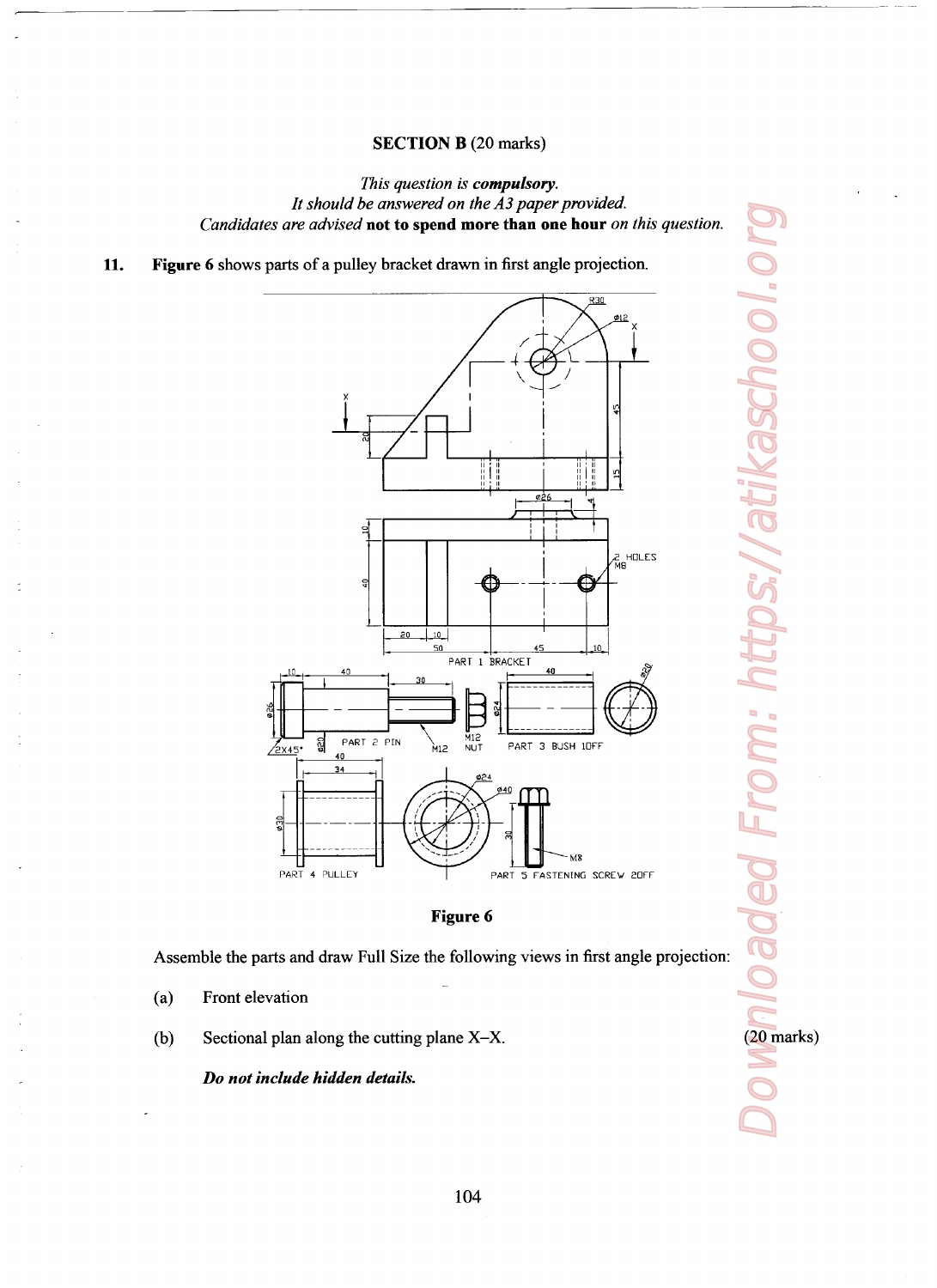#### SECTION B (20 marks)

### This question is compulsory. It should be answered on the  $A3$  paper provided. Candidates are advised not to spend more than one hour on this question.

11. Figure 6 shows parts of a pulley bracket drawn in first angle projection.

<u> 1989 - Andrea Andrew Amerikaanse Amerikaanse kommunister van die verskilde van die verskilde van die verskild</u>





Assemble the pans and draw Full Size the following views in first angle projection:

- (a) Front elevation
- $\mathbf{X}$ (b) Sectional plan along the cutting plane X—X. (20 marks)

Do not include hidden details.

Dowanloaded From: https://atikaschool.org **ded From: https://atikaschool.**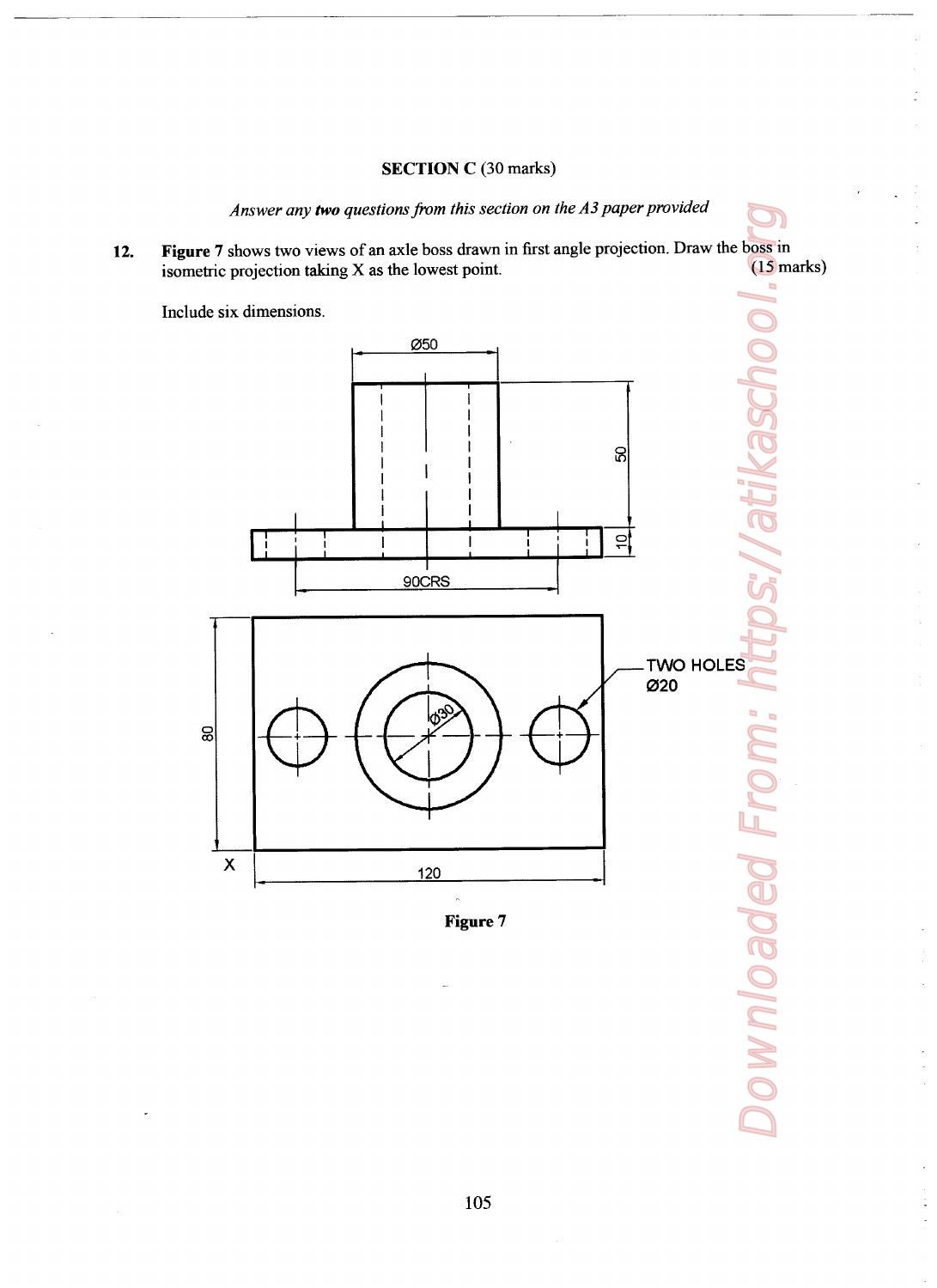# **SECTION C** (30 marks)

Answer any two questions from this section on the A3 paper provided

Figure 7 shows two views of an axle boss drawn in first angle projection. Draw the boss in 12.  $(15$  marks) isometric projection taking X as the lowest point.

Include six dimensions.



Figure 7